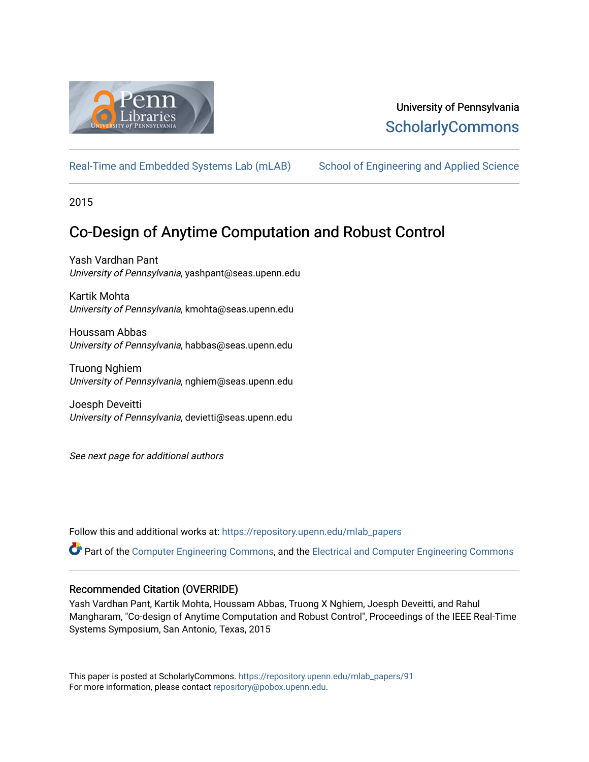

# University of Pennsylvania **ScholarlyCommons**

[Real-Time and Embedded Systems Lab \(mLAB\)](https://repository.upenn.edu/mlab_papers) [School of Engineering and Applied Science](https://repository.upenn.edu/seas) 

2015

# Co-Design of Anytime Computation and Robust Control

Yash Vardhan Pant University of Pennsylvania, yashpant@seas.upenn.edu

Kartik Mohta University of Pennsylvania, kmohta@seas.upenn.edu

Houssam Abbas University of Pennsylvania, habbas@seas.upenn.edu

Truong Nghiem University of Pennsylvania, nghiem@seas.upenn.edu

Joesph Deveitti University of Pennsylvania, devietti@seas.upenn.edu

See next page for additional authors

Follow this and additional works at: [https://repository.upenn.edu/mlab\\_papers](https://repository.upenn.edu/mlab_papers?utm_source=repository.upenn.edu%2Fmlab_papers%2F91&utm_medium=PDF&utm_campaign=PDFCoverPages) 

 $\bullet$  Part of the [Computer Engineering Commons,](http://network.bepress.com/hgg/discipline/258?utm_source=repository.upenn.edu%2Fmlab_papers%2F91&utm_medium=PDF&utm_campaign=PDFCoverPages) and the [Electrical and Computer Engineering Commons](http://network.bepress.com/hgg/discipline/266?utm_source=repository.upenn.edu%2Fmlab_papers%2F91&utm_medium=PDF&utm_campaign=PDFCoverPages)

### Recommended Citation (OVERRIDE)

Yash Vardhan Pant, Kartik Mohta, Houssam Abbas, Truong X Nghiem, Joesph Deveitti, and Rahul Mangharam, "Co-design of Anytime Computation and Robust Control", Proceedings of the IEEE Real-Time Systems Symposium, San Antonio, Texas, 2015

This paper is posted at ScholarlyCommons. [https://repository.upenn.edu/mlab\\_papers/91](https://repository.upenn.edu/mlab_papers/91) For more information, please contact [repository@pobox.upenn.edu.](mailto:repository@pobox.upenn.edu)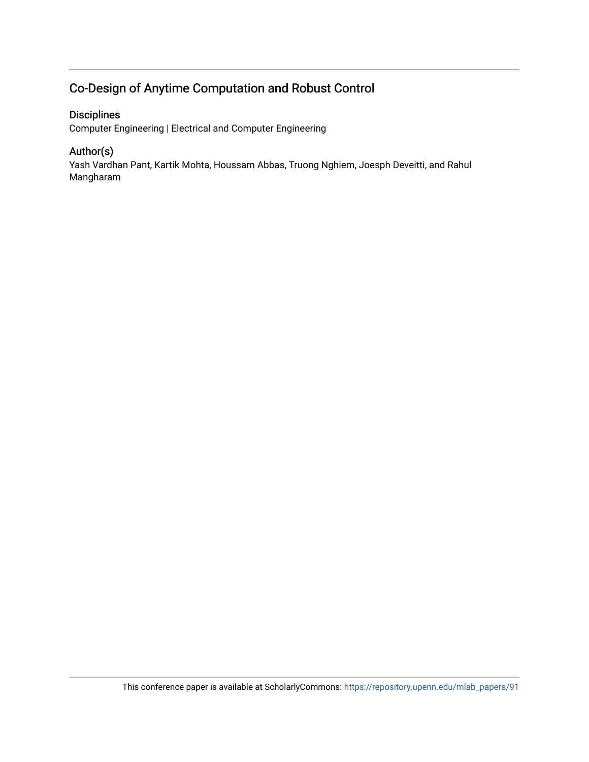# Co-Design of Anytime Computation and Robust Control

# Disciplines

Computer Engineering | Electrical and Computer Engineering

## Author(s)

Yash Vardhan Pant, Kartik Mohta, Houssam Abbas, Truong Nghiem, Joesph Deveitti, and Rahul Mangharam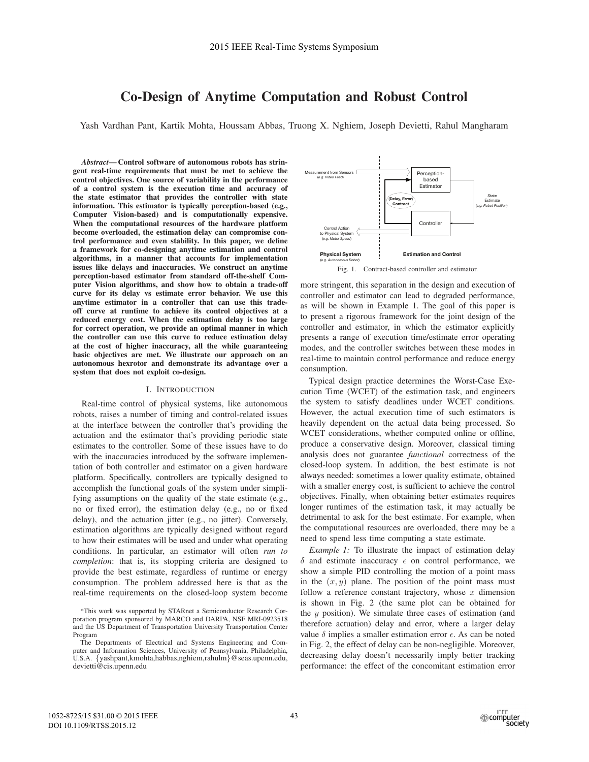### Co-Design of Anytime Computation and Robust Control

Yash Vardhan Pant, Kartik Mohta, Houssam Abbas, Truong X. Nghiem, Joseph Devietti, Rahul Mangharam

*Abstract*— Control software of autonomous robots has stringent real-time requirements that must be met to achieve the control objectives. One source of variability in the performance of a control system is the execution time and accuracy of the state estimator that provides the controller with state information. This estimator is typically perception-based (e.g., Computer Vision-based) and is computationally expensive. When the computational resources of the hardware platform become overloaded, the estimation delay can compromise control performance and even stability. In this paper, we define a framework for co-designing anytime estimation and control algorithms, in a manner that accounts for implementation issues like delays and inaccuracies. We construct an anytime perception-based estimator from standard off-the-shelf Computer Vision algorithms, and show how to obtain a trade-off curve for its delay vs estimate error behavior. We use this anytime estimator in a controller that can use this tradeoff curve at runtime to achieve its control objectives at a reduced energy cost. When the estimation delay is too large for correct operation, we provide an optimal manner in which the controller can use this curve to reduce estimation delay at the cost of higher inaccuracy, all the while guaranteeing basic objectives are met. We illustrate our approach on an autonomous hexrotor and demonstrate its advantage over a system that does not exploit co-design.

#### I. INTRODUCTION

Real-time control of physical systems, like autonomous robots, raises a number of timing and control-related issues at the interface between the controller that's providing the actuation and the estimator that's providing periodic state estimates to the controller. Some of these issues have to do with the inaccuracies introduced by the software implementation of both controller and estimator on a given hardware platform. Specifically, controllers are typically designed to accomplish the functional goals of the system under simplifying assumptions on the quality of the state estimate (e.g., no or fixed error), the estimation delay (e.g., no or fixed delay), and the actuation jitter (e.g., no jitter). Conversely, estimation algorithms are typically designed without regard to how their estimates will be used and under what operating conditions. In particular, an estimator will often *run to completion*: that is, its stopping criteria are designed to provide the best estimate, regardless of runtime or energy consumption. The problem addressed here is that as the real-time requirements on the closed-loop system become



Fig. 1. Contract-based controller and estimator.

more stringent, this separation in the design and execution of controller and estimator can lead to degraded performance, as will be shown in Example 1. The goal of this paper is to present a rigorous framework for the joint design of the controller and estimator, in which the estimator explicitly presents a range of execution time/estimate error operating modes, and the controller switches between these modes in real-time to maintain control performance and reduce energy consumption.

Typical design practice determines the Worst-Case Execution Time (WCET) of the estimation task, and engineers the system to satisfy deadlines under WCET conditions. However, the actual execution time of such estimators is heavily dependent on the actual data being processed. So WCET considerations, whether computed online or offline, produce a conservative design. Moreover, classical timing analysis does not guarantee *functional* correctness of the closed-loop system. In addition, the best estimate is not always needed: sometimes a lower quality estimate, obtained with a smaller energy cost, is sufficient to achieve the control objectives. Finally, when obtaining better estimates requires longer runtimes of the estimation task, it may actually be detrimental to ask for the best estimate. For example, when the computational resources are overloaded, there may be a need to spend less time computing a state estimate.

*Example 1:* To illustrate the impact of estimation delay  $\delta$  and estimate inaccuracy  $\epsilon$  on control performance, we show a simple PID controlling the motion of a point mass in the  $(x, y)$  plane. The position of the point mass must follow a reference constant trajectory, whose  $x$  dimension is shown in Fig. 2 (the same plot can be obtained for the  $y$  position). We simulate three cases of estimation (and therefore actuation) delay and error, where a larger delay value  $\delta$  implies a smaller estimation error  $\epsilon$ . As can be noted in Fig. 2, the effect of delay can be non-negligible. Moreover, decreasing delay doesn't necessarily imply better tracking performance: the effect of the concomitant estimation error

<sup>\*</sup>This work was supported by STARnet a Semiconductor Research Corporation program sponsored by MARCO and DARPA, NSF MRI-0923518 and the US Department of Transportation University Transportation Center Program

The Departments of Electrical and Systems Engineering and Computer and Information Sciences, University of Pennsylvania, Philadelphia, U.S.A. {yashpant,kmohta,habbas,nghiem,rahulm}@seas.upenn.edu, devietti@cis.upenn.edu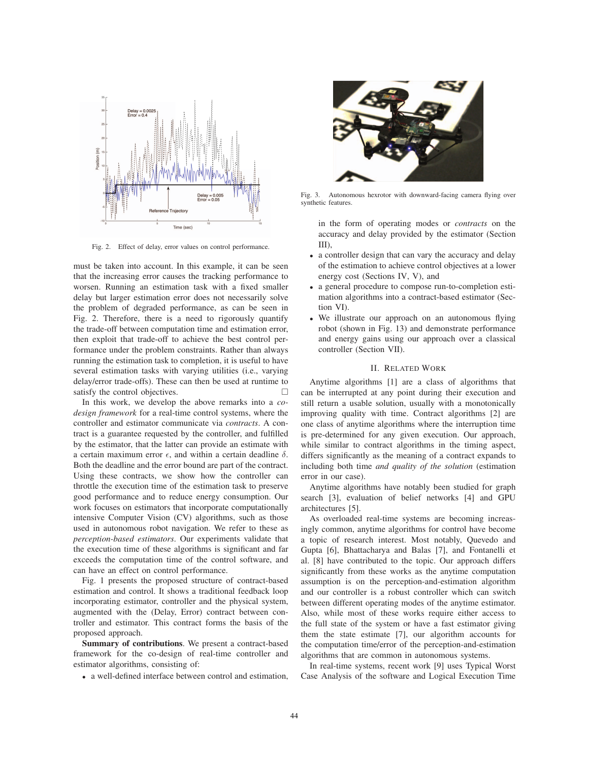

Fig. 2. Effect of delay, error values on control performance.

must be taken into account. In this example, it can be seen that the increasing error causes the tracking performance to worsen. Running an estimation task with a fixed smaller delay but larger estimation error does not necessarily solve the problem of degraded performance, as can be seen in Fig. 2. Therefore, there is a need to rigorously quantify the trade-off between computation time and estimation error, then exploit that trade-off to achieve the best control performance under the problem constraints. Rather than always running the estimation task to completion, it is useful to have several estimation tasks with varying utilities (i.e., varying delay/error trade-offs). These can then be used at runtime to satisfy the control objectives.  $\Box$ 

In this work, we develop the above remarks into a *codesign framework* for a real-time control systems, where the controller and estimator communicate via *contracts*. A contract is a guarantee requested by the controller, and fulfilled by the estimator, that the latter can provide an estimate with a certain maximum error  $\epsilon$ , and within a certain deadline  $\delta$ . Both the deadline and the error bound are part of the contract. Using these contracts, we show how the controller can throttle the execution time of the estimation task to preserve good performance and to reduce energy consumption. Our work focuses on estimators that incorporate computationally intensive Computer Vision (CV) algorithms, such as those used in autonomous robot navigation. We refer to these as *perception-based estimators*. Our experiments validate that the execution time of these algorithms is significant and far exceeds the computation time of the control software, and can have an effect on control performance.

Fig. 1 presents the proposed structure of contract-based estimation and control. It shows a traditional feedback loop incorporating estimator, controller and the physical system, augmented with the (Delay, Error) contract between controller and estimator. This contract forms the basis of the proposed approach.

Summary of contributions. We present a contract-based framework for the co-design of real-time controller and estimator algorithms, consisting of:

• a well-defined interface between control and estimation,



Fig. 3. Autonomous hexrotor with downward-facing camera flying over synthetic features.

in the form of operating modes or *contracts* on the accuracy and delay provided by the estimator (Section III),

- a controller design that can vary the accuracy and delay of the estimation to achieve control objectives at a lower energy cost (Sections IV, V), and
- a general procedure to compose run-to-completion estimation algorithms into a contract-based estimator (Section VI).
- We illustrate our approach on an autonomous flying robot (shown in Fig. 13) and demonstrate performance and energy gains using our approach over a classical controller (Section VII).

#### II. RELATED WORK

Anytime algorithms [1] are a class of algorithms that can be interrupted at any point during their execution and still return a usable solution, usually with a monotonically improving quality with time. Contract algorithms [2] are one class of anytime algorithms where the interruption time is pre-determined for any given execution. Our approach, while similar to contract algorithms in the timing aspect, differs significantly as the meaning of a contract expands to including both time *and quality of the solution* (estimation error in our case).

Anytime algorithms have notably been studied for graph search [3], evaluation of belief networks [4] and GPU architectures [5].

As overloaded real-time systems are becoming increasingly common, anytime algorithms for control have become a topic of research interest. Most notably, Quevedo and Gupta [6], Bhattacharya and Balas [7], and Fontanelli et al. [8] have contributed to the topic. Our approach differs significantly from these works as the anytime computation assumption is on the perception-and-estimation algorithm and our controller is a robust controller which can switch between different operating modes of the anytime estimator. Also, while most of these works require either access to the full state of the system or have a fast estimator giving them the state estimate [7], our algorithm accounts for the computation time/error of the perception-and-estimation algorithms that are common in autonomous systems.

In real-time systems, recent work [9] uses Typical Worst Case Analysis of the software and Logical Execution Time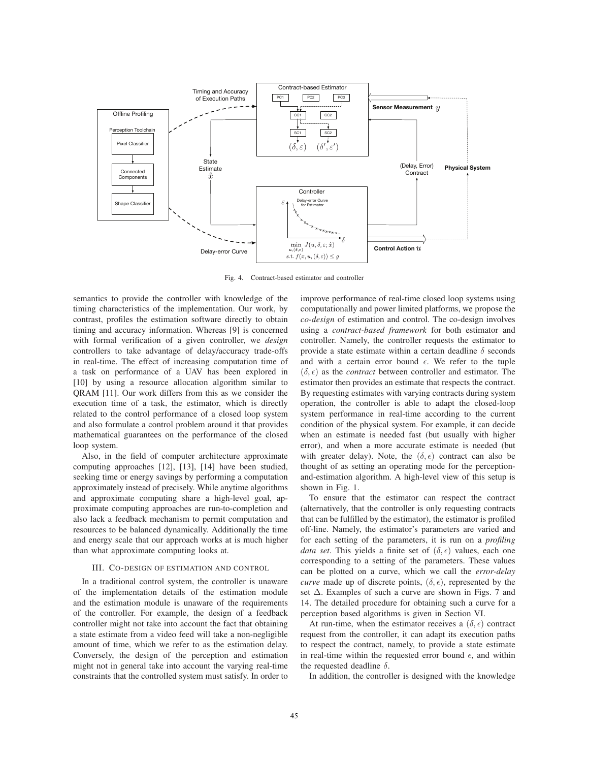

Fig. 4. Contract-based estimator and controller

semantics to provide the controller with knowledge of the timing characteristics of the implementation. Our work, by contrast, profiles the estimation software directly to obtain timing and accuracy information. Whereas [9] is concerned with formal verification of a given controller, we *design* controllers to take advantage of delay/accuracy trade-offs in real-time. The effect of increasing computation time of a task on performance of a UAV has been explored in [10] by using a resource allocation algorithm similar to QRAM [11]. Our work differs from this as we consider the execution time of a task, the estimator, which is directly related to the control performance of a closed loop system and also formulate a control problem around it that provides mathematical guarantees on the performance of the closed loop system.

Also, in the field of computer architecture approximate computing approaches [12], [13], [14] have been studied, seeking time or energy savings by performing a computation approximately instead of precisely. While anytime algorithms and approximate computing share a high-level goal, approximate computing approaches are run-to-completion and also lack a feedback mechanism to permit computation and resources to be balanced dynamically. Additionally the time and energy scale that our approach works at is much higher than what approximate computing looks at.

#### III. CO-DESIGN OF ESTIMATION AND CONTROL

In a traditional control system, the controller is unaware of the implementation details of the estimation module and the estimation module is unaware of the requirements of the controller. For example, the design of a feedback controller might not take into account the fact that obtaining a state estimate from a video feed will take a non-negligible amount of time, which we refer to as the estimation delay. Conversely, the design of the perception and estimation might not in general take into account the varying real-time constraints that the controlled system must satisfy. In order to

improve performance of real-time closed loop systems using computationally and power limited platforms, we propose the *co-design* of estimation and control. The co-design involves using a *contract-based framework* for both estimator and controller. Namely, the controller requests the estimator to provide a state estimate within a certain deadline  $\delta$  seconds and with a certain error bound  $\epsilon$ . We refer to the tuple  $(\delta, \epsilon)$  as the *contract* between controller and estimator. The estimator then provides an estimate that respects the contract. By requesting estimates with varying contracts during system operation, the controller is able to adapt the closed-loop system performance in real-time according to the current condition of the physical system. For example, it can decide when an estimate is needed fast (but usually with higher error), and when a more accurate estimate is needed (but with greater delay). Note, the  $(\delta, \epsilon)$  contract can also be thought of as setting an operating mode for the perceptionand-estimation algorithm. A high-level view of this setup is shown in Fig. 1.

To ensure that the estimator can respect the contract (alternatively, that the controller is only requesting contracts that can be fulfilled by the estimator), the estimator is profiled off-line. Namely, the estimator's parameters are varied and for each setting of the parameters, it is run on a *profiling data set*. This yields a finite set of  $(\delta, \epsilon)$  values, each one corresponding to a setting of the parameters. These values can be plotted on a curve, which we call the *error-delay curve* made up of discrete points,  $(\delta, \epsilon)$ , represented by the set  $\Delta$ . Examples of such a curve are shown in Figs. 7 and 14. The detailed procedure for obtaining such a curve for a perception based algorithms is given in Section VI.

At run-time, when the estimator receives a  $(\delta, \epsilon)$  contract request from the controller, it can adapt its execution paths to respect the contract, namely, to provide a state estimate in real-time within the requested error bound  $\epsilon$ , and within the requested deadline  $\delta$ .

In addition, the controller is designed with the knowledge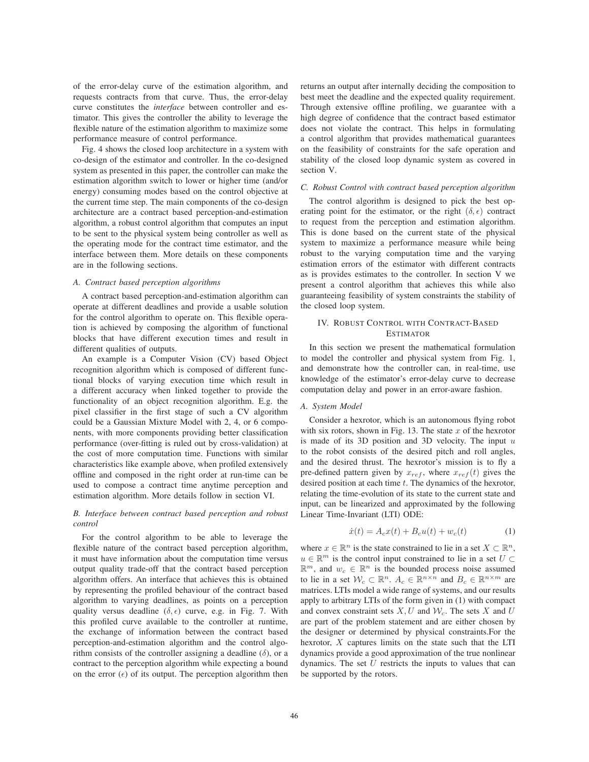of the error-delay curve of the estimation algorithm, and requests contracts from that curve. Thus, the error-delay curve constitutes the *interface* between controller and estimator. This gives the controller the ability to leverage the flexible nature of the estimation algorithm to maximize some performance measure of control performance.

Fig. 4 shows the closed loop architecture in a system with co-design of the estimator and controller. In the co-designed system as presented in this paper, the controller can make the estimation algorithm switch to lower or higher time (and/or energy) consuming modes based on the control objective at the current time step. The main components of the co-design architecture are a contract based perception-and-estimation algorithm, a robust control algorithm that computes an input to be sent to the physical system being controller as well as the operating mode for the contract time estimator, and the interface between them. More details on these components are in the following sections.

#### *A. Contract based perception algorithms*

A contract based perception-and-estimation algorithm can operate at different deadlines and provide a usable solution for the control algorithm to operate on. This flexible operation is achieved by composing the algorithm of functional blocks that have different execution times and result in different qualities of outputs.

An example is a Computer Vision (CV) based Object recognition algorithm which is composed of different functional blocks of varying execution time which result in a different accuracy when linked together to provide the functionality of an object recognition algorithm. E.g. the pixel classifier in the first stage of such a CV algorithm could be a Gaussian Mixture Model with 2, 4, or 6 components, with more components providing better classification performance (over-fitting is ruled out by cross-validation) at the cost of more computation time. Functions with similar characteristics like example above, when profiled extensively offline and composed in the right order at run-time can be used to compose a contract time anytime perception and estimation algorithm. More details follow in section VI.

#### *B. Interface between contract based perception and robust control*

For the control algorithm to be able to leverage the flexible nature of the contract based perception algorithm, it must have information about the computation time versus output quality trade-off that the contract based perception algorithm offers. An interface that achieves this is obtained by representing the profiled behaviour of the contract based algorithm to varying deadlines, as points on a perception quality versus deadline  $(\delta, \epsilon)$  curve, e.g. in Fig. 7. With this profiled curve available to the controller at runtime, the exchange of information between the contract based perception-and-estimation algorithm and the control algorithm consists of the controller assigning a deadline  $(\delta)$ , or a contract to the perception algorithm while expecting a bound on the error  $(\epsilon)$  of its output. The perception algorithm then returns an output after internally deciding the composition to best meet the deadline and the expected quality requirement. Through extensive offline profiling, we guarantee with a high degree of confidence that the contract based estimator does not violate the contract. This helps in formulating a control algorithm that provides mathematical guarantees on the feasibility of constraints for the safe operation and stability of the closed loop dynamic system as covered in section V.

#### *C. Robust Control with contract based perception algorithm*

The control algorithm is designed to pick the best operating point for the estimator, or the right  $(\delta, \epsilon)$  contract to request from the perception and estimation algorithm. This is done based on the current state of the physical system to maximize a performance measure while being robust to the varying computation time and the varying estimation errors of the estimator with different contracts as is provides estimates to the controller. In section V we present a control algorithm that achieves this while also guaranteeing feasibility of system constraints the stability of the closed loop system.

#### IV. ROBUST CONTROL WITH CONTRACT-BASED ESTIMATOR

In this section we present the mathematical formulation to model the controller and physical system from Fig. 1, and demonstrate how the controller can, in real-time, use knowledge of the estimator's error-delay curve to decrease computation delay and power in an error-aware fashion.

#### *A. System Model*

Consider a hexrotor, which is an autonomous flying robot with six rotors, shown in Fig. 13. The state  $x$  of the hexrotor is made of its 3D position and 3D velocity. The input  $u$ to the robot consists of the desired pitch and roll angles, and the desired thrust. The hexrotor's mission is to fly a pre-defined pattern given by  $x_{ref}$ , where  $x_{ref}(t)$  gives the desired position at each time  $t$ . The dynamics of the hexrotor, relating the time-evolution of its state to the current state and input, can be linearized and approximated by the following Linear Time-Invariant (LTI) ODE:

$$
\dot{x}(t) = A_c x(t) + B_c u(t) + w_c(t)
$$
 (1)

where  $x \in \mathbb{R}^n$  is the state constrained to lie in a set  $X \subset \mathbb{R}^n$ ,  $u \in \mathbb{R}^m$  is the control input constrained to lie in a set  $U \subset$  $\mathbb{R}^m$ , and  $w_c \in \mathbb{R}^n$  is the bounded process noise assumed to lie in a set  $W_c \subset \mathbb{R}^n$ .  $A_c \in \mathbb{R}^{n \times n}$  and  $B_c \in \mathbb{R}^{n \times m}$  are matrices. LTIs model a wide range of systems, and our results apply to arbitrary LTIs of the form given in (1) with compact and convex constraint sets  $X, U$  and  $W_c$ . The sets X and U are part of the problem statement and are either chosen by the designer or determined by physical constraints.For the hexrotor, X captures limits on the state such that the LTI dynamics provide a good approximation of the true nonlinear dynamics. The set  $U$  restricts the inputs to values that can be supported by the rotors.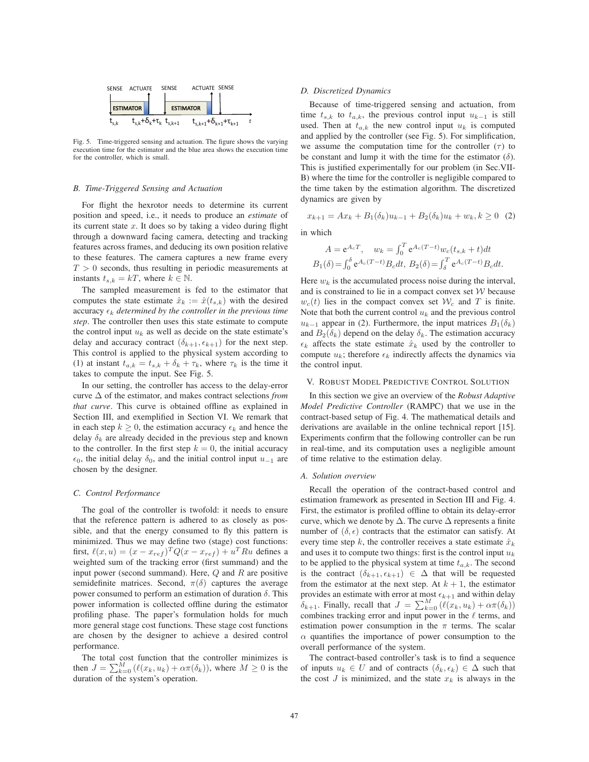

Fig. 5. Time-triggered sensing and actuation. The figure shows the varying execution time for the estimator and the blue area shows the execution time for the controller, which is small.

#### *B. Time-Triggered Sensing and Actuation*

For flight the hexrotor needs to determine its current position and speed, i.e., it needs to produce an *estimate* of its current state  $x$ . It does so by taking a video during flight through a downward facing camera, detecting and tracking features across frames, and deducing its own position relative to these features. The camera captures a new frame every  $T > 0$  seconds, thus resulting in periodic measurements at instants  $t_{s,k} = kT$ , where  $k \in \mathbb{N}$ .

The sampled measurement is fed to the estimator that computes the state estimate  $\hat{x}_k := \hat{x}(t_{s,k})$  with the desired accuracy  $\epsilon_k$  *determined by the controller in the previous time step*. The controller then uses this state estimate to compute the control input  $u_k$  as well as decide on the state estimate's delay and accuracy contract  $(\delta_{k+1}, \epsilon_{k+1})$  for the next step. This control is applied to the physical system according to (1) at instant  $t_{a,k} = t_{s,k} + \delta_k + \tau_k$ , where  $\tau_k$  is the time it takes to compute the input. See Fig. 5.

In our setting, the controller has access to the delay-error curve Δ of the estimator, and makes contract selections *from that curve*. This curve is obtained offline as explained in Section III, and exemplified in Section VI. We remark that in each step  $k \geq 0$ , the estimation accuracy  $\epsilon_k$  and hence the delay  $\delta_k$  are already decided in the previous step and known to the controller. In the first step  $k = 0$ , the initial accuracy  $\epsilon_0$ , the initial delay  $\delta_0$ , and the initial control input  $u_{-1}$  are chosen by the designer.

#### *C. Control Performance*

The goal of the controller is twofold: it needs to ensure that the reference pattern is adhered to as closely as possible, and that the energy consumed to fly this pattern is minimized. Thus we may define two (stage) cost functions: first,  $\ell(x, u) = (x - x_{ref})^T Q(x - x_{ref}) + u^T R u$  defines a weighted sum of the tracking error (first summand) and the input power (second summand). Here,  $Q$  and  $R$  are positive semidefinite matrices. Second,  $\pi(\delta)$  captures the average power consumed to perform an estimation of duration  $\delta$ . This power information is collected offline during the estimator profiling phase. The paper's formulation holds for much more general stage cost functions. These stage cost functions are chosen by the designer to achieve a desired control performance.

The total cost function that the controller minimizes is then  $J = \sum_{k=0}^{M} (\ell(x_k, u_k) + \alpha \pi(\delta_k))$ , where  $M \ge 0$  is the duration of the system's operation.

#### *D. Discretized Dynamics*

Because of time-triggered sensing and actuation, from time  $t_{s,k}$  to  $t_{a,k}$ , the previous control input  $u_{k-1}$  is still used. Then at  $t_{a,k}$  the new control input  $u_k$  is computed and applied by the controller (see Fig. 5). For simplification, we assume the computation time for the controller  $(\tau)$  to be constant and lump it with the time for the estimator  $(\delta)$ . This is justified experimentally for our problem (in Sec.VII-B) where the time for the controller is negligible compared to the time taken by the estimation algorithm. The discretized dynamics are given by

$$
x_{k+1} = Ax_k + B_1(\delta_k)u_{k-1} + B_2(\delta_k)u_k + w_k, k \ge 0
$$
 (2)

in which

$$
A = e^{A_c T}, \quad w_k = \int_0^T e^{A_c (T-t)} w_c(t_{s,k} + t) dt
$$
  
\n
$$
B_1(\delta) = \int_0^{\delta} e^{A_c (T-t)} B_c dt, \ B_2(\delta) = \int_{\delta}^T e^{A_c (T-t)} B_c dt.
$$

Here  $w_k$  is the accumulated process noise during the interval, and is constrained to lie in a compact convex set  $W$  because  $w_c(t)$  lies in the compact convex set  $\mathcal{W}_c$  and T is finite. Note that both the current control  $u_k$  and the previous control  $u_{k-1}$  appear in (2). Furthermore, the input matrices  $B_1(\delta_k)$ and  $B_2(\delta_k)$  depend on the delay  $\delta_k$ . The estimation accuracy  $\epsilon_k$  affects the state estimate  $\hat{x}_k$  used by the controller to compute  $u_k$ ; therefore  $\epsilon_k$  indirectly affects the dynamics via the control input.

#### V. ROBUST MODEL PREDICTIVE CONTROL SOLUTION

In this section we give an overview of the *Robust Adaptive Model Predictive Controller* (RAMPC) that we use in the contract-based setup of Fig. 4. The mathematical details and derivations are available in the online technical report [15]. Experiments confirm that the following controller can be run in real-time, and its computation uses a negligible amount of time relative to the estimation delay.

#### *A. Solution overview*

Recall the operation of the contract-based control and estimation framework as presented in Section III and Fig. 4. First, the estimator is profiled offline to obtain its delay-error curve, which we denote by  $\Delta$ . The curve  $\Delta$  represents a finite number of  $(\delta, \epsilon)$  contracts that the estimator can satisfy. At every time step k, the controller receives a state estimate  $\hat{x}_k$ and uses it to compute two things: first is the control input  $u_k$ to be applied to the physical system at time  $t_{a,k}$ . The second is the contract  $(\delta_{k+1}, \epsilon_{k+1}) \in \Delta$  that will be requested from the estimator at the next step. At  $k + 1$ , the estimator provides an estimate with error at most  $\epsilon_{k+1}$  and within delay  $\delta_{k+1}$ . Finally, recall that  $J = \sum_{k=0}^{M} (\ell(x_k, u_k) + \alpha \pi(\delta_k))$ combines tracking error and input power in the  $\ell$  terms, and estimation power consumption in the  $\pi$  terms. The scalar  $\alpha$  quantifies the importance of power consumption to the overall performance of the system.

The contract-based controller's task is to find a sequence of inputs  $u_k \in U$  and of contracts  $(\delta_k, \epsilon_k) \in \Delta$  such that the cost J is minimized, and the state  $x_k$  is always in the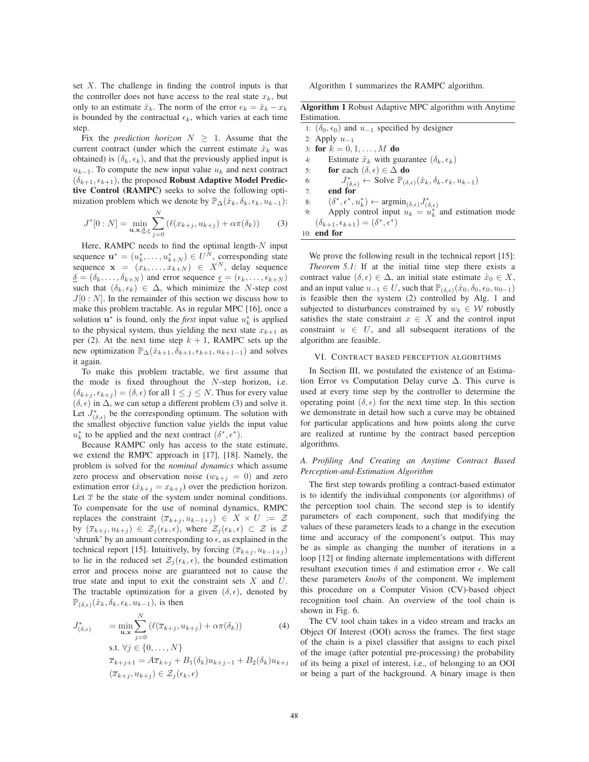set X. The challenge in finding the control inputs is that the controller does not have access to the real state  $x_k$ , but only to an estimate  $\hat{x}_k$ . The norm of the error  $e_k = \hat{x}_k - x_k$ is bounded by the contractual  $\epsilon_k$ , which varies at each time step.

Fix the *prediction horizon*  $N \geq 1$ . Assume that the current contract (under which the current estimate  $\hat{x}_k$  was obtained) is  $(\delta_k, \epsilon_k)$ , and that the previously applied input is  $u_{k-1}$ . To compute the new input value  $u_k$  and next contract  $(\delta_{k+1}, \epsilon_{k+1})$ , the proposed Robust Adaptive Model Predictive Control (RAMPC) seeks to solve the following optimization problem which we denote by  $\mathbb{P}_{\Delta}(\hat{x}_k, \delta_k, \epsilon_k, u_{k-1})$ :

$$
J^*[0:N] = \min_{\mathbf{u},\mathbf{x},\underline{\delta},\underline{\epsilon}} \sum_{j=0}^N (\ell(x_{k+j}, u_{k+j}) + \alpha \pi(\delta_k))
$$
 (3)

Here, RAMPC needs to find the optimal length- $N$  input sequence  $\mathbf{u}^* = (u_k^*, \dots, u_{k+N}^*) \in U^{\overline{N}}$ , corresponding state sequence  $\mathbf{x} = (x_k, \dots, x_{k+N}) \in X^N$ , delay sequence  $\underline{\delta} = (\delta_k, \dots, \delta_{k+N})$  and error sequence  $\underline{\epsilon} = (\epsilon_k, \dots, \epsilon_{k+N})$ such that  $(\delta_k, \epsilon_k) \in \Delta$ , which minimize the N-step cost  $J[0:N]$ . In the remainder of this section we discuss how to make this problem tractable. As in regular MPC [16], once a solution  $\mathbf{u}^*$  is found, only the *first* input value  $u_k^*$  is applied to the physical system, thus yielding the next state  $x_{k+1}$  as per (2). At the next time step  $k + 1$ , RAMPC sets up the new optimization  $\mathbb{P}_{\Delta}(\hat{x}_{k+1}, \delta_{k+1}, \epsilon_{k+1}, u_{k+1-1})$  and solves it again.

To make this problem tractable, we first assume that the mode is fixed throughout the  $N$ -step horizon, i.e.  $(\delta_{k+j}, \epsilon_{k+j}) = (\delta, \epsilon)$  for all  $1 \leq j \leq N$ . Thus for every value  $(\delta, \epsilon)$  in  $\Delta$ , we can setup a different problem (3) and solve it. Let  $J^*_{(\delta,\epsilon)}$  be the corresponding optimum. The solution with the smallest objective function value yields the input value  $u_k^*$  to be applied and the next contract  $(\delta^*, \epsilon^*)$ .

Because RAMPC only has access to the state estimate, we extend the RMPC approach in [17], [18]. Namely, the problem is solved for the *nominal dynamics* which assume zero process and observation noise  $(w_{k+j} = 0)$  and zero estimation error  $(\hat{x}_{k+j} = x_{k+j})$  over the prediction horizon. Let  $\bar{x}$  be the state of the system under nominal conditions. To compensate for the use of nominal dynamics, RMPC replaces the constraint  $(\overline{x}_{k+j}, u_{k-1+j}) \in X \times U := \mathcal{Z}$ by  $(\overline{x}_{k+j}, u_{k+j}) \in \mathcal{Z}_j(\epsilon_k, \epsilon)$ , where  $\mathcal{Z}_j(\epsilon_k, \epsilon) \subset \mathcal{Z}$  is  $\mathcal{Z}$ 'shrunk' by an amount corresponding to  $\epsilon$ , as explained in the technical report [15]. Intuitively, by forcing  $(\overline{x}_{k+j}, u_{k-1+j})$ to lie in the reduced set  $\mathcal{Z}_j(\epsilon_k, \epsilon)$ , the bounded estimation error and process noise are guaranteed not to cause the true state and input to exit the constraint sets  $X$  and  $U$ . The tractable optimization for a given  $(\delta, \epsilon)$ , denoted by  $\mathbb{P}_{(\delta,\epsilon)}(\hat{x}_k, \delta_k, \epsilon_k, u_{k-1}),$  is then

$$
J_{(\delta,\epsilon)}^* = \min_{\mathbf{u},\mathbf{x}} \sum_{j=0}^N \left( \ell(\overline{x}_{k+j}, u_{k+j}) + \alpha \pi(\delta_k) \right)
$$
(4)  
s.t.  $\forall j \in \{0, ..., N\}$   

$$
\overline{x}_{k+j+1} = A \overline{x}_{k+j} + B_1(\delta_k) u_{k+j-1} + B_2(\delta_k) u_{k+j}
$$

$$
(\overline{x}_{k+j}, u_{k+j}) \in \mathcal{Z}_j(\epsilon_k, \epsilon)
$$

Algorithm 1 summarizes the RAMPC algorithm.

Algorithm 1 Robust Adaptive MPC algorithm with Anytime Estimation.

|    | 1: $(\delta_0, \epsilon_0)$ and $u_{-1}$ specified by designer                                                        |
|----|-----------------------------------------------------------------------------------------------------------------------|
|    | 2: Apply $u_{-1}$                                                                                                     |
|    | 3: for $k = 0, 1, , M$ do                                                                                             |
| 4: | Estimate $\hat{x}_k$ with guarantee $(\delta_k, \epsilon_k)$                                                          |
| 5: | for each $(\delta, \epsilon) \in \Delta$ do                                                                           |
| 6: | $J^*_{(\delta,\epsilon)} \leftarrow$ Solve $\mathbb{P}_{(\delta,\epsilon)}(\hat{x}_k, \delta_k, \epsilon_k, u_{k-1})$ |
| 7: | end for                                                                                                               |
|    | 8: $(\delta^*, \epsilon^*, u_k^*) \leftarrow \operatorname{argmin}_{(\delta, \epsilon)} J^*_{(\delta, \epsilon)}$     |
| 9: | Apply control input $u_k = u_k^*$ and estimation mode                                                                 |
|    | $(\delta_{k+1}, \epsilon_{k+1}) = (\delta^*, \epsilon^*)$                                                             |
|    | 10: end for                                                                                                           |
|    |                                                                                                                       |

We prove the following result in the technical report [15]: *Theorem 5.1:* If at the initial time step there exists a contract value  $(\delta, \epsilon) \in \Delta$ , an initial state estimate  $\hat{x}_0 \in X$ , and an input value  $u_{-1} \in U$ , such that  $\mathbb{P}_{(\delta,\epsilon)}(\hat{x}_0, \delta_0, \epsilon_0, u_{0-1})$ is feasible then the system (2) controlled by Alg. 1 and subjected to disturbances constrained by  $w_k \in \mathcal{W}$  robustly satisfies the state constraint  $x \in X$  and the control input constraint  $u \in U$ , and all subsequent iterations of the algorithm are feasible.

#### VI. CONTRACT BASED PERCEPTION ALGORITHMS

In Section III, we postulated the existence of an Estimation Error vs Computation Delay curve  $\Delta$ . This curve is used at every time step by the controller to determine the operating point  $(\delta, \epsilon)$  for the next time step. In this section we demonstrate in detail how such a curve may be obtained for particular applications and how points along the curve are realized at runtime by the contract based perception algorithms.

#### *A. Profiling And Creating an Anytime Contract Based Perception-and-Estimation Algorithm*

The first step towards profiling a contract-based estimator is to identify the individual components (or algorithms) of the perception tool chain. The second step is to identify parameters of each component, such that modifying the values of these parameters leads to a change in the execution time and accuracy of the component's output. This may be as simple as changing the number of iterations in a loop [12] or finding alternate implementations with different resultant execution times  $\delta$  and estimation error  $\epsilon$ . We call these parameters *knobs* of the component. We implement this procedure on a Computer Vision (CV)-based object recognition tool chain. An overview of the tool chain is shown in Fig. 6.

The CV tool chain takes in a video stream and tracks an Object Of Interest (OOI) across the frames. The first stage of the chain is a pixel classifier that assigns to each pixel of the image (after potential pre-processing) the probability of its being a pixel of interest, i.e., of belonging to an OOI or being a part of the background. A binary image is then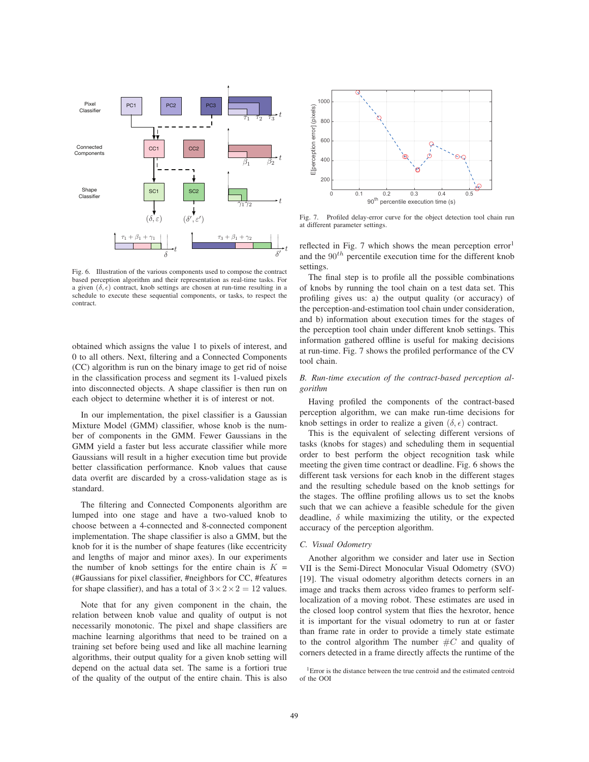

Fig. 6. Illustration of the various components used to compose the contract based perception algorithm and their representation as real-time tasks. For a given  $(\delta, \epsilon)$  contract, knob settings are chosen at run-time resulting in a schedule to execute these sequential components, or tasks, to respect the contract.

obtained which assigns the value 1 to pixels of interest, and 0 to all others. Next, filtering and a Connected Components (CC) algorithm is run on the binary image to get rid of noise in the classification process and segment its 1-valued pixels into disconnected objects. A shape classifier is then run on each object to determine whether it is of interest or not.

In our implementation, the pixel classifier is a Gaussian Mixture Model (GMM) classifier, whose knob is the number of components in the GMM. Fewer Gaussians in the GMM yield a faster but less accurate classifier while more Gaussians will result in a higher execution time but provide better classification performance. Knob values that cause data overfit are discarded by a cross-validation stage as is standard.

The filtering and Connected Components algorithm are lumped into one stage and have a two-valued knob to choose between a 4-connected and 8-connected component implementation. The shape classifier is also a GMM, but the knob for it is the number of shape features (like eccentricity and lengths of major and minor axes). In our experiments the number of knob settings for the entire chain is  $K =$ (#Gaussians for pixel classifier, #neighbors for CC, #features for shape classifier), and has a total of  $3 \times 2 \times 2 = 12$  values.

Note that for any given component in the chain, the relation between knob value and quality of output is not necessarily monotonic. The pixel and shape classifiers are machine learning algorithms that need to be trained on a training set before being used and like all machine learning algorithms, their output quality for a given knob setting will depend on the actual data set. The same is a fortiori true of the quality of the output of the entire chain. This is also



Fig. 7. Profiled delay-error curve for the object detection tool chain run at different parameter settings.

reflected in Fig. 7 which shows the mean perception  $error<sup>1</sup>$ and the  $90<sup>th</sup>$  percentile execution time for the different knob settings.

The final step is to profile all the possible combinations of knobs by running the tool chain on a test data set. This profiling gives us: a) the output quality (or accuracy) of the perception-and-estimation tool chain under consideration, and b) information about execution times for the stages of the perception tool chain under different knob settings. This information gathered offline is useful for making decisions at run-time. Fig. 7 shows the profiled performance of the CV tool chain.

#### *B. Run-time execution of the contract-based perception algorithm*

Having profiled the components of the contract-based perception algorithm, we can make run-time decisions for knob settings in order to realize a given  $(\delta, \epsilon)$  contract.

This is the equivalent of selecting different versions of tasks (knobs for stages) and scheduling them in sequential order to best perform the object recognition task while meeting the given time contract or deadline. Fig. 6 shows the different task versions for each knob in the different stages and the resulting schedule based on the knob settings for the stages. The offline profiling allows us to set the knobs such that we can achieve a feasible schedule for the given deadline,  $\delta$  while maximizing the utility, or the expected accuracy of the perception algorithm.

#### *C. Visual Odometry*

Another algorithm we consider and later use in Section VII is the Semi-Direct Monocular Visual Odometry (SVO) [19]. The visual odometry algorithm detects corners in an image and tracks them across video frames to perform selflocalization of a moving robot. These estimates are used in the closed loop control system that flies the hexrotor, hence it is important for the visual odometry to run at or faster than frame rate in order to provide a timely state estimate to the control algorithm The number  $\#C$  and quality of corners detected in a frame directly affects the runtime of the

<sup>&</sup>lt;sup>1</sup>Error is the distance between the true centroid and the estimated centroid of the OOI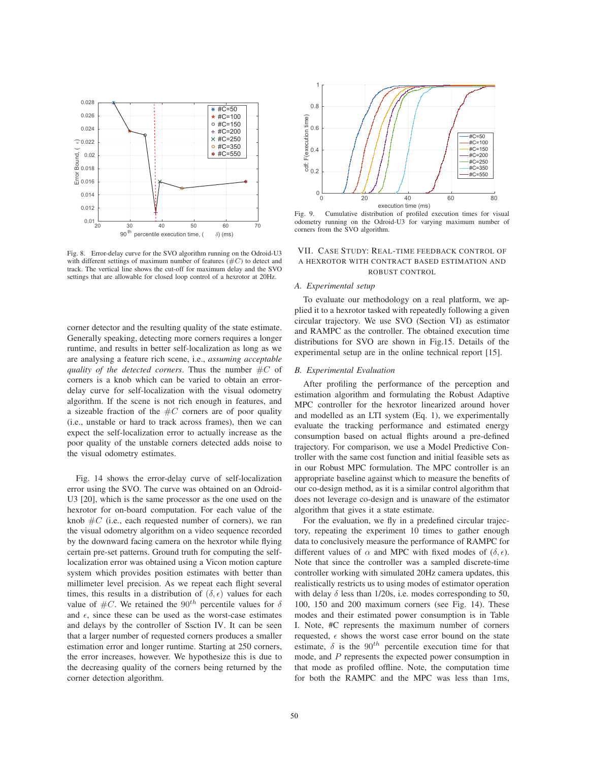

Fig. 8. Error-delay curve for the SVO algorithm running on the Odroid-U3 with different settings of maximum number of features  $(\#C)$  to detect and with different settings of maximum number of features (#C) to detect and track. The vertical line shows the cut-off for maximum delay and the SVO settings that are allowable for closed loop control of a hexrotor at 20Hz.

corner detector and the resulting quality of the state estimate. Generally speaking, detecting more corners requires a longer runtime, and results in better self-localization as long as we are analysing a feature rich scene, i.e., *assuming acceptable quality of the detected corners*. Thus the number  $\#C$  of corners is a knob which can be varied to obtain an errordelay curve for self-localization with the visual odometry algorithm. If the scene is not rich enough in features, and a sizeable fraction of the  $\#C$  corners are of poor quality (i.e., unstable or hard to track across frames), then we can expect the self-localization error to actually increase as the poor quality of the unstable corners detected adds noise to the visual odometry estimates.

Fig. 14 shows the error-delay curve of self-localization error using the SVO. The curve was obtained on an Odroid-U3 [20], which is the same processor as the one used on the hexrotor for on-board computation. For each value of the knob  $\#C$  (i.e., each requested number of corners), we ran the visual odometry algorithm on a video sequence recorded by the downward facing camera on the hexrotor while flying certain pre-set patterns. Ground truth for computing the selflocalization error was obtained using a Vicon motion capture system which provides position estimates with better than millimeter level precision. As we repeat each flight several times, this results in a distribution of  $(\delta, \epsilon)$  values for each value of  $\#C$ . We retained the 90<sup>th</sup> percentile values for  $\delta$ and  $\epsilon$ , since these can be used as the worst-case estimates and delays by the controller of Ssction IV. It can be seen that a larger number of requested corners produces a smaller estimation error and longer runtime. Starting at 250 corners, the error increases, however. We hypothesize this is due to the decreasing quality of the corners being returned by the corner detection algorithm.



Fig. 9. Cumulative distribution of profiled execution times for visual odometry running on the Odroid-U3 for varying maximum number of corners from the SVO algorithm.

#### VII. CASE STUDY: REAL-TIME FEEDBACK CONTROL OF A HEXROTOR WITH CONTRACT BASED ESTIMATION AND ROBUST CONTROL

#### *A. Experimental setup*

To evaluate our methodology on a real platform, we applied it to a hexrotor tasked with repeatedly following a given circular trajectory. We use SVO (Section VI) as estimator and RAMPC as the controller. The obtained execution time distributions for SVO are shown in Fig.15. Details of the experimental setup are in the online technical report [15].

#### *B. Experimental Evaluation*

After profiling the performance of the perception and estimation algorithm and formulating the Robust Adaptive MPC controller for the hexrotor linearized around hover and modelled as an LTI system (Eq. 1), we experimentally evaluate the tracking performance and estimated energy consumption based on actual flights around a pre-defined trajectory. For comparison, we use a Model Predictive Controller with the same cost function and initial feasible sets as in our Robust MPC formulation. The MPC controller is an appropriate baseline against which to measure the benefits of our co-design method, as it is a similar control algorithm that does not leverage co-design and is unaware of the estimator algorithm that gives it a state estimate.

For the evaluation, we fly in a predefined circular trajectory, repeating the experiment 10 times to gather enough data to conclusively measure the performance of RAMPC for different values of  $\alpha$  and MPC with fixed modes of  $(\delta, \epsilon)$ . Note that since the controller was a sampled discrete-time controller working with simulated 20Hz camera updates, this realistically restricts us to using modes of estimator operation with delay  $\delta$  less than 1/20s, i.e. modes corresponding to 50, 100, 150 and 200 maximum corners (see Fig. 14). These modes and their estimated power consumption is in Table I. Note, #C represents the maximum number of corners requested,  $\epsilon$  shows the worst case error bound on the state estimate,  $\delta$  is the 90<sup>th</sup> percentile execution time for that mode, and P represents the expected power consumption in that mode as profiled offline. Note, the computation time for both the RAMPC and the MPC was less than 1ms,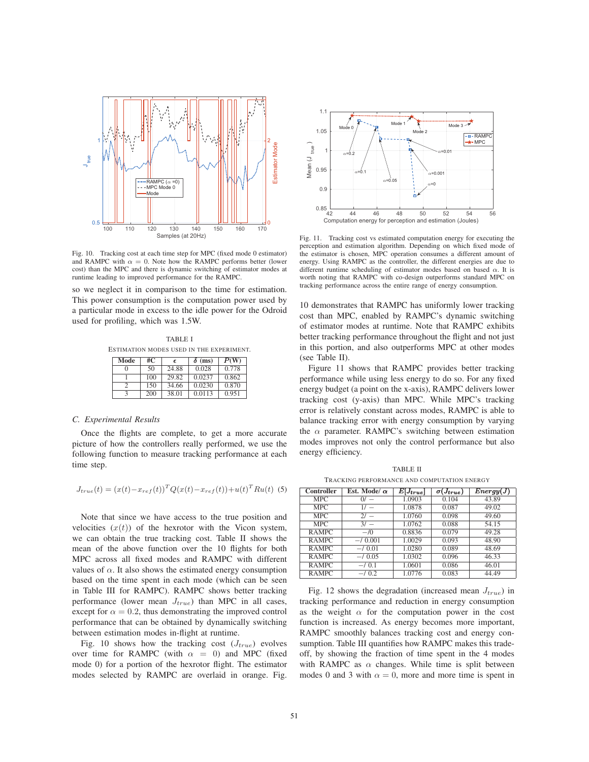

Fig. 10. Tracking cost at each time step for MPC (fixed mode 0 estimator) and RAMPC with  $\alpha = 0$ . Note how the RAMPC performs better (lower cost) than the MPC and there is dynamic switching of estimator modes at runtime leading to improved performance for the RAMPC.

so we neglect it in comparison to the time for estimation. This power consumption is the computation power used by a particular mode in excess to the idle power for the Odroid used for profiling, which was 1.5W.

TABLE I ESTIMATION MODES USED IN THE EXPERIMENT.

| Mode              | #C  | E     | $\delta$ (ms) | P(W)  |
|-------------------|-----|-------|---------------|-------|
| $\mathbf{\Omega}$ | 50  | 24.88 | 0.028         | 0.778 |
|                   | 100 | 29.82 | 0.0237        | 0.862 |
|                   | 150 | 34.66 | 0.0230        | 0.870 |
|                   | 200 | 38.01 | 0.0113        | 0.951 |

#### *C. Experimental Results*

Once the flights are complete, to get a more accurate picture of how the controllers really performed, we use the following function to measure tracking performance at each time step.

$$
J_{true}(t) = (x(t) - x_{ref}(t))^T Q(x(t) - x_{ref}(t)) + u(t)^T R u(t)
$$
 (5)

Note that since we have access to the true position and velocities  $(x(t))$  of the hexrotor with the Vicon system, we can obtain the true tracking cost. Table II shows the mean of the above function over the 10 flights for both MPC across all fixed modes and RAMPC with different values of  $\alpha$ . It also shows the estimated energy consumption based on the time spent in each mode (which can be seen in Table III for RAMPC). RAMPC shows better tracking performance (lower mean  $J_{true}$ ) than MPC in all cases, except for  $\alpha = 0.2$ , thus demonstrating the improved control performance that can be obtained by dynamically switching between estimation modes in-flight at runtime.

Fig. 10 shows how the tracking cost  $(J_{true})$  evolves over time for RAMPC (with  $\alpha = 0$ ) and MPC (fixed mode 0) for a portion of the hexrotor flight. The estimator modes selected by RAMPC are overlaid in orange. Fig.



Fig. 11. Tracking cost vs estimated computation energy for executing the perception and estimation algorithm. Depending on which fixed mode of the estimator is chosen, MPC operation consumes a different amount of energy. Using RAMPC as the controller, the different energies are due to different runtime scheduling of estimator modes based on based  $\alpha$ . It is worth noting that RAMPC with co-design outperforms standard MPC on tracking performance across the entire range of energy consumption.

10 demonstrates that RAMPC has uniformly lower tracking cost than MPC, enabled by RAMPC's dynamic switching of estimator modes at runtime. Note that RAMPC exhibits better tracking performance throughout the flight and not just in this portion, and also outperforms MPC at other modes (see Table II).

Figure 11 shows that RAMPC provides better tracking performance while using less energy to do so. For any fixed energy budget (a point on the x-axis), RAMPC delivers lower tracking cost (y-axis) than MPC. While MPC's tracking error is relatively constant across modes, RAMPC is able to balance tracking error with energy consumption by varying the  $\alpha$  parameter. RAMPC's switching between estimation modes improves not only the control performance but also energy efficiency.

TABLE II TRACKING PERFORMANCE AND COMPUTATION ENERGY

| Controller   | Est. Mode/ $\alpha$ | $E[J_{true}]$ | $\sigma(J_{true})$ | Energy(J) |
|--------------|---------------------|---------------|--------------------|-----------|
| MPC.         | $0/-$               | 1.0903        | 0.104              | 43.89     |
| <b>MPC</b>   |                     | 1.0878        | 0.087              | 49.02     |
| <b>MPC</b>   | $21 -$              | 1.0760        | 0.098              | 49.60     |
| <b>MPC</b>   | $3/-$               | 1.0762        | 0.088              | 54.15     |
| <b>RAMPC</b> | $-1/0$              | 0.8836        | 0.079              | 49.28     |
| <b>RAMPC</b> | $-10.001$           | 1.0029        | 0.093              | 48.90     |
| <b>RAMPC</b> | $-10.01$            | 1.0280        | 0.089              | 48.69     |
| <b>RAMPC</b> | $-10.05$            | 1.0302        | 0.096              | 46.33     |
| <b>RAMPC</b> | $-10.1$             | 1.0601        | 0.086              | 46.01     |
| <b>RAMPC</b> | $-10.2$             | 1.0776        | 0.083              | 44.49     |

Fig. 12 shows the degradation (increased mean  $J_{true}$ ) in tracking performance and reduction in energy consumption as the weight  $\alpha$  for the computation power in the cost function is increased. As energy becomes more important, RAMPC smoothly balances tracking cost and energy consumption. Table III quantifies how RAMPC makes this tradeoff, by showing the fraction of time spent in the 4 modes with RAMPC as  $\alpha$  changes. While time is split between modes 0 and 3 with  $\alpha = 0$ , more and more time is spent in